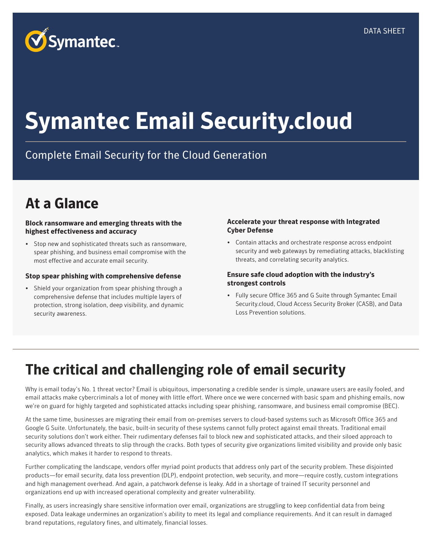

# **Symantec Email Security.cloud**

### Complete Email Security for the Cloud Generation

# **At a Glance**

#### **Block ransomware and emerging threats with the highest effectiveness and accuracy**

• Stop new and sophisticated threats such as ransomware, spear phishing, and business email compromise with the most effective and accurate email security.

#### **Stop spear phishing with comprehensive defense**

• Shield your organization from spear phishing through a comprehensive defense that includes multiple layers of protection, strong isolation, deep visibility, and dynamic security awareness.

#### **Accelerate your threat response with Integrated Cyber Defense**

• Contain attacks and orchestrate response across endpoint security and web gateways by remediating attacks, blacklisting threats, and correlating security analytics.

#### **Ensure safe cloud adoption with the industry's strongest controls**

• Fully secure Office 365 and G Suite through Symantec Email Security.cloud, Cloud Access Security Broker (CASB), and Data Loss Prevention solutions.

## **The critical and challenging role of email security**

Why is email today's No. 1 threat vector? Email is ubiquitous, impersonating a credible sender is simple, unaware users are easily fooled, and email attacks make cybercriminals a lot of money with little effort. Where once we were concerned with basic spam and phishing emails, now we're on guard for highly targeted and sophisticated attacks including spear phishing, ransomware, and business email compromise (BEC).

At the same time, businesses are migrating their email from on-premises servers to cloud-based systems such as Microsoft Office 365 and Google G Suite. Unfortunately, the basic, built-in security of these systems cannot fully protect against email threats. Traditional email security solutions don't work either. Their rudimentary defenses fail to block new and sophisticated attacks, and their siloed approach to security allows advanced threats to slip through the cracks. Both types of security give organizations limited visibility and provide only basic analytics, which makes it harder to respond to threats.

Further complicating the landscape, vendors offer myriad point products that address only part of the security problem. These disjointed products—for email security, data loss prevention (DLP), endpoint protection, web security, and more—require costly, custom integrations and high management overhead. And again, a patchwork defense is leaky. Add in a shortage of trained IT security personnel and organizations end up with increased operational complexity and greater vulnerability.

Finally, as users increasingly share sensitive information over email, organizations are struggling to keep confidential data from being exposed. Data leakage undermines an organization's ability to meet its legal and compliance requirements. And it can result in damaged brand reputations, regulatory fines, and ultimately, financial losses.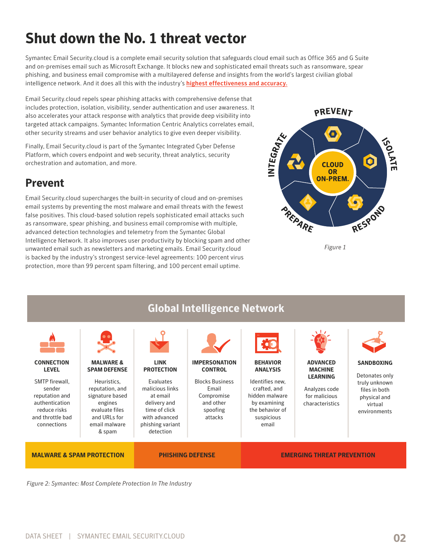# **Shut down the No. 1 threat vector**

Symantec Email Security.cloud is a complete email security solution that safeguards cloud email such as Office 365 and G Suite and on-premises email such as Microsoft Exchange. It blocks new and sophisticated email threats such as ransomware, spear phishing, and business email compromise with a multilayered defense and insights from the world's largest civilian global intelligence network. And it does all this with the industry's [highest effectiveness and accuracy.](https://www.symantec.com/connect/articles/how-does-symantec-email-security-stack-against-competition)

Email Security.cloud repels spear phishing attacks with comprehensive defense that includes protection, isolation, visibility, sender authentication and user awareness. It also accelerates your attack response with analytics that provide deep visibility into targeted attack campaigns. Symantec Information Centric Analytics correlates email, other security streams and user behavior analytics to give even deeper visibility.

Finally, Email Security.cloud is part of the Symantec Integrated Cyber Defense Platform, which covers endpoint and web security, threat analytics, security orchestration and automation, and more.

#### **Prevent**

Email Security.cloud supercharges the built-in security of cloud and on-premises email systems by preventing the most malware and email threats with the fewest false positives. This cloud-based solution repels sophisticated email attacks such as ransomware, spear phishing, and business email compromise with multiple, advanced detection technologies and telemetry from the Symantec Global Intelligence Network. It also improves user productivity by blocking spam and other unwanted email such as newsletters and marketing emails. Email Security.cloud is backed by the industry's strongest service-level agreements: 100 percent virus protection, more than 99 percent spam filtering, and 100 percent email uptime.



*Figure 1*



*Figure 2: Symantec: Most Complete Protection In The Industry*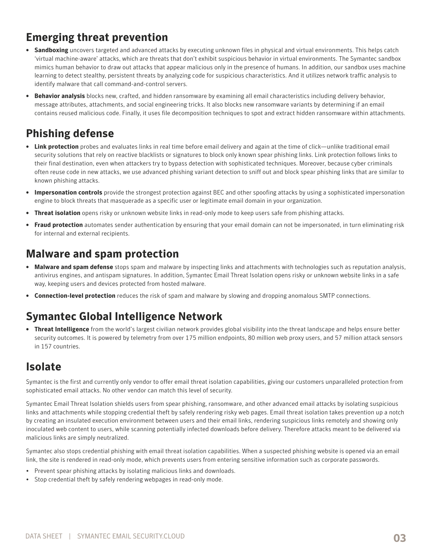### **Emerging threat prevention**

- **• Sandboxing** uncovers targeted and advanced attacks by executing unknown files in physical and virtual environments. This helps catch 'virtual machine-aware' attacks, which are threats that don't exhibit suspicious behavior in virtual environments. The Symantec sandbox mimics human behavior to draw out attacks that appear malicious only in the presence of humans. In addition, our sandbox uses machine learning to detect stealthy, persistent threats by analyzing code for suspicious characteristics. And it utilizes network traffic analysis to identify malware that call command-and-control servers.
- **• Behavior analysis** blocks new, crafted, and hidden ransomware by examining all email characteristics including delivery behavior, message attributes, attachments, and social engineering tricks. It also blocks new ransomware variants by determining if an email contains reused malicious code. Finally, it uses file decomposition techniques to spot and extract hidden ransomware within attachments.

### **Phishing defense**

- **• Link protection** probes and evaluates links in real time before email delivery and again at the time of click—unlike traditional email security solutions that rely on reactive blacklists or signatures to block only known spear phishing links. Link protection follows links to their final destination, even when attackers try to bypass detection with sophisticated techniques. Moreover, because cyber criminals often reuse code in new attacks, we use advanced phishing variant detection to sniff out and block spear phishing links that are similar to known phishing attacks.
- **• Impersonation controls** provide the strongest protection against BEC and other spoofing attacks by using a sophisticated impersonation engine to block threats that masquerade as a specific user or legitimate email domain in your organization.
- **• Threat isolation** opens risky or unknown website links in read-only mode to keep users safe from phishing attacks.
- **• Fraud protection** automates sender authentication by ensuring that your email domain can not be impersonated, in turn eliminating risk for internal and external recipients.

#### **Malware and spam protection**

- **• Malware and spam defense** stops spam and malware by inspecting links and attachments with technologies such as reputation analysis, antivirus engines, and antispam signatures. In addition, Symantec Email Threat Isolation opens risky or unknown website links in a safe way, keeping users and devices protected from hosted malware.
- **• Connection-level protection** reduces the risk of spam and malware by slowing and dropping anomalous SMTP connections.

### **Symantec Global Intelligence Network**

**• Threat Intelligence** from the world's largest civilian network provides global visibility into the threat landscape and helps ensure better security outcomes. It is powered by telemetry from over 175 million endpoints, 80 million web proxy users, and 57 million attack sensors in 157 countries.

#### **Isolate**

Symantec is the first and currently only vendor to offer email threat isolation capabilities, giving our customers unparalleled protection from sophisticated email attacks. No other vendor can match this level of security.

Symantec Email Threat Isolation shields users from spear phishing, ransomware, and other advanced email attacks by isolating suspicious links and attachments while stopping credential theft by safely rendering risky web pages. Email threat isolation takes prevention up a notch by creating an insulated execution environment between users and their email links, rendering suspicious links remotely and showing only inoculated web content to users, while scanning potentially infected downloads before delivery. Therefore attacks meant to be delivered via malicious links are simply neutralized.

Symantec also stops credential phishing with email threat isolation capabilities. When a suspected phishing website is opened via an email link, the site is rendered in read-only mode, which prevents users from entering sensitive information such as corporate passwords.

- Prevent spear phishing attacks by isolating malicious links and downloads.
- Stop credential theft by safely rendering webpages in read-only mode.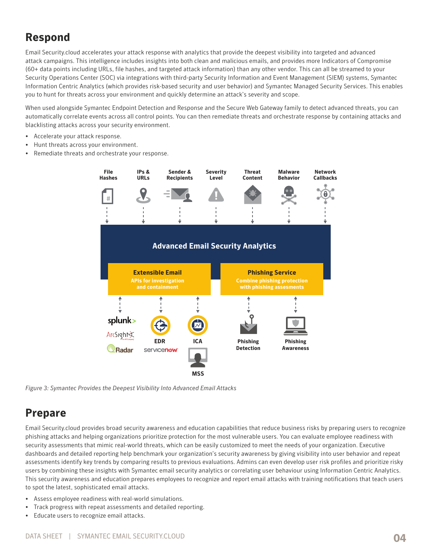#### **Respond**

Email Security.cloud accelerates your attack response with analytics that provide the deepest visibility into targeted and advanced attack campaigns. This intelligence includes insights into both clean and malicious emails, and provides more Indicators of Compromise (60+ data points including URLs, file hashes, and targeted attack information) than any other vendor. This can all be streamed to your Security Operations Center (SOC) via integrations with third-party Security Information and Event Management (SIEM) systems, Symantec Information Centric Analytics (which provides risk-based security and user behavior) and Symantec Managed Security Services. This enables you to hunt for threats across your environment and quickly determine an attack's severity and scope.

When used alongside Symantec Endpoint Detection and Response and the Secure Web Gateway family to detect advanced threats, you can automatically correlate events across all control points. You can then remediate threats and orchestrate response by containing attacks and blacklisting attacks across your security environment.

- Accelerate your attack response.
- Hunt threats across your environment.
- Remediate threats and orchestrate your response.



*Figure 3: Symantec Provides the Deepest Visibility Into Advanced Email Attacks*

#### **Prepare**

Email Security.cloud provides broad security awareness and education capabilities that reduce business risks by preparing users to recognize phishing attacks and helping organizations prioritize protection for the most vulnerable users. You can evaluate employee readiness with security assessments that mimic real-world threats, which can be easily customized to meet the needs of your organization. Executive dashboards and detailed reporting help benchmark your organization's security awareness by giving visibility into user behavior and repeat assessments identify key trends by comparing results to previous evaluations. Admins can even develop user risk profiles and prioritize risky users by combining these insights with Symantec email security analytics or correlating user behaviour using Information Centric Analytics. This security awareness and education prepares employees to recognize and report email attacks with training notifications that teach users to spot the latest, sophisticated email attacks.

- Assess employee readiness with real-world simulations.
- Track progress with repeat assessments and detailed reporting.
- Educate users to recognize email attacks.